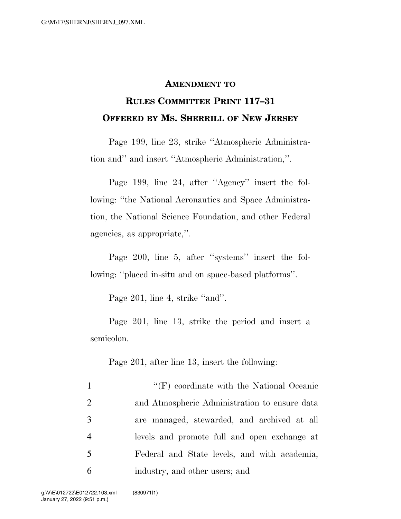## **AMENDMENT TO**

## **RULES COMMITTEE PRINT 117–31 OFFERED BY MS. SHERRILL OF NEW JERSEY**

Page 199, line 23, strike ''Atmospheric Administration and'' and insert ''Atmospheric Administration,''.

Page 199, line 24, after "Agency" insert the following: ''the National Aeronautics and Space Administration, the National Science Foundation, and other Federal agencies, as appropriate,''.

Page 200, line 5, after ''systems'' insert the following: ''placed in-situ and on space-based platforms''.

Page 201, line 4, strike "and".

Page 201, line 13, strike the period and insert a semicolon.

Page 201, after line 13, insert the following:

1 ''(F) coordinate with the National Oceanic and Atmospheric Administration to ensure data are managed, stewarded, and archived at all levels and promote full and open exchange at Federal and State levels, and with academia, industry, and other users; and